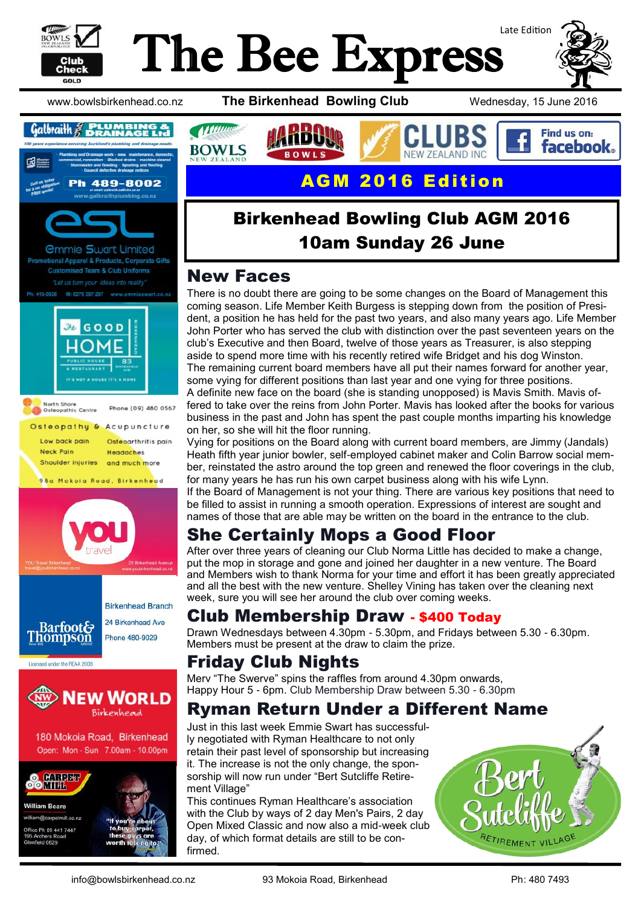

# Late Edition The Bee Express









180 Mokoia Road, Birkenhead Open: Mon - Sun 7.00am - 10.00pm



**William Beare** william@carpetmill.co.nz ice Ph 09 441 7447 hers Road field 0629



www.bowlsbirkenhead.co.nz **The Birkenhead Bowling Club** Wednesday, 15 June 2016





# Birkenhead Bowling Club AGM 2016 10am Sunday 26 June

### New Faces

There is no doubt there are going to be some changes on the Board of Management this coming season. Life Member Keith Burgess is stepping down from the position of President, a position he has held for the past two years, and also many years ago. Life Member John Porter who has served the club with distinction over the past seventeen years on the club's Executive and then Board, twelve of those years as Treasurer, is also stepping aside to spend more time with his recently retired wife Bridget and his dog Winston. The remaining current board members have all put their names forward for another year, some vying for different positions than last year and one vying for three positions. A definite new face on the board (she is standing unopposed) is Mavis Smith. Mavis offered to take over the reins from John Porter. Mavis has looked after the books for various business in the past and John has spent the past couple months imparting his knowledge on her, so she will hit the floor running.

Vying for positions on the Board along with current board members, are Jimmy (Jandals) Heath fifth year junior bowler, self-employed cabinet maker and Colin Barrow social member, reinstated the astro around the top green and renewed the floor coverings in the club, for many years he has run his own carpet business along with his wife Lynn.

If the Board of Management is not your thing. There are various key positions that need to be filled to assist in running a smooth operation. Expressions of interest are sought and names of those that are able may be written on the board in the entrance to the club.

# She Certainly Mops a Good Floor

After over three years of cleaning our Club Norma Little has decided to make a change, put the mop in storage and gone and joined her daughter in a new venture. The Board and Members wish to thank Norma for your time and effort it has been greatly appreciated and all the best with the new venture. Shelley Vining has taken over the cleaning next week, sure you will see her around the club over coming weeks.

### Club Membership Draw - \$400 Today

Drawn Wednesdays between 4.30pm - 5.30pm, and Fridays between 5.30 - 6.30pm. Members must be present at the draw to claim the prize.

# Friday Club Nights

Merv "The Swerve" spins the raffles from around 4.30pm onwards, Happy Hour 5 - 6pm. Club Membership Draw between 5.30 - 6.30pm

## Ryman Return Under a Different Name

Just in this last week Emmie Swart has successfully negotiated with Ryman Healthcare to not only retain their past level of sponsorship but increasing it. The increase is not the only change, the sponsorship will now run under "Bert Sutcliffe Retirement Village"

This continues Ryman Healthcare's association with the Club by ways of 2 day Men's Pairs, 2 day Open Mixed Classic and now also a mid-week club day, of which format details are still to be confirmed.